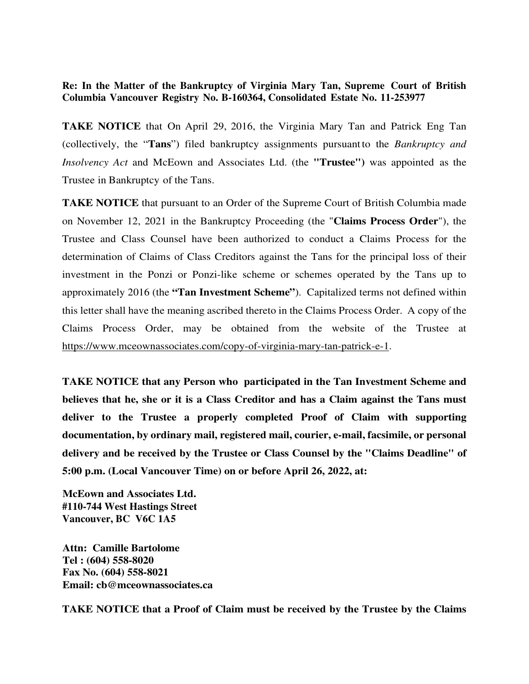## **Re: In the Matter of the Bankruptcy of Virginia Mary Tan, Supreme Court of British Columbia Vancouver Registry No. B-160364, Consolidated Estate No. 11-253977**

**TAKE NOTICE** that On April 29, 2016, the Virginia Mary Tan and Patrick Eng Tan (collectively, the "**Tans**") filed bankruptcy assignments pursuant to the *Bankruptcy and Insolvency Act* and McEown and Associates Ltd. (the **"Trustee")** was appointed as the Trustee in Bankruptcy of the Tans.

**TAKE NOTICE** that pursuant to an Order of the Supreme Court of British Columbia made on November 12, 2021 in the Bankruptcy Proceeding (the "**Claims Process Order**"), the Trustee and Class Counsel have been authorized to conduct a Claims Process for the determination of Claims of Class Creditors against the Tans for the principal loss of their investment in the Ponzi or Ponzi-like scheme or schemes operated by the Tans up to approximately 2016 (the **"Tan Investment Scheme"**). Capitalized terms not defined within this letter shall have the meaning ascribed thereto in the Claims Process Order. A copy of the Claims Process Order, may be obtained from the website of the Trustee at https://www.mceownassociates.com/copy-of-virginia-mary-tan-patrick-e-1.

**TAKE NOTICE that any Person who participated in the Tan Investment Scheme and believes that he, she or it is a Class Creditor and has a Claim against the Tans must deliver to the Trustee a properly completed Proof of Claim with supporting documentation, by ordinary mail, registered mail, courier, e-mail, facsimile, or personal delivery and be received by the Trustee or Class Counsel by the "Claims Deadline" of 5:00 p.m. (Local Vancouver Time) on or before April 26, 2022, at:** 

**McEown and Associates Ltd. #110-744 West Hastings Street Vancouver, BC V6C 1A5** 

**Attn: Camille Bartolome Tel : (604) 558-8020 Fax No. (604) 558-8021 Email: cb@mceownassociates.ca** 

**TAKE NOTICE that a Proof of Claim must be received by the Trustee by the Claims**